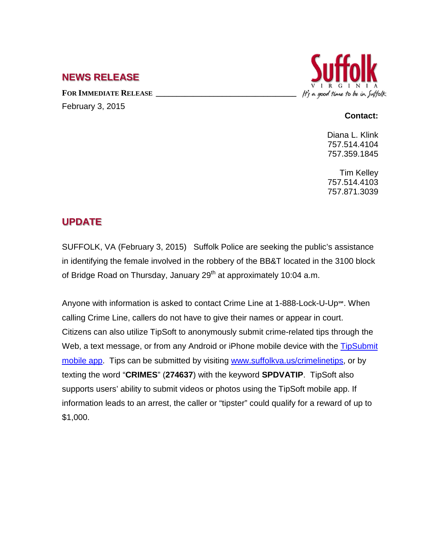## **NEWS RELEASE**

FOR **IMMEDIATE RELEASE** February 3, 2015



#### **Contact:**

Diana L. Klink 757.514.4104 757.359.1845

Tim Kelley 757.514.4103 757.871.3039

# **UPDATE**

SUFFOLK, VA (February 3, 2015) Suffolk Police are seeking the public's assistance in identifying the female involved in the robbery of the BB&T located in the 3100 block of Bridge Road on Thursday, January  $29<sup>th</sup>$  at approximately 10:04 a.m.

Anyone with information is asked to contact Crime Line at 1-888-Lock-U-Up℠. When calling Crime Line, callers do not have to give their names or appear in court. Citizens can also utilize TipSoft to anonymously submit crime-related tips through the Web, a text message, or from any Android or iPhone mobile device with the TipSubmit [mobile app.](http://www.tipsoft.com/index.asp?P=TipSubmitMobile) Tips can be submitted by visiting [www.suffolkva.us/crimelinetips,](http://www.suffolkva.us/crimelinetips) or by texting the word "**CRIMES**" (**274637**) with the keyword **SPDVATIP**. TipSoft also supports users' ability to submit videos or photos using the TipSoft mobile app. If information leads to an arrest, the caller or "tipster" could qualify for a reward of up to \$1,000.